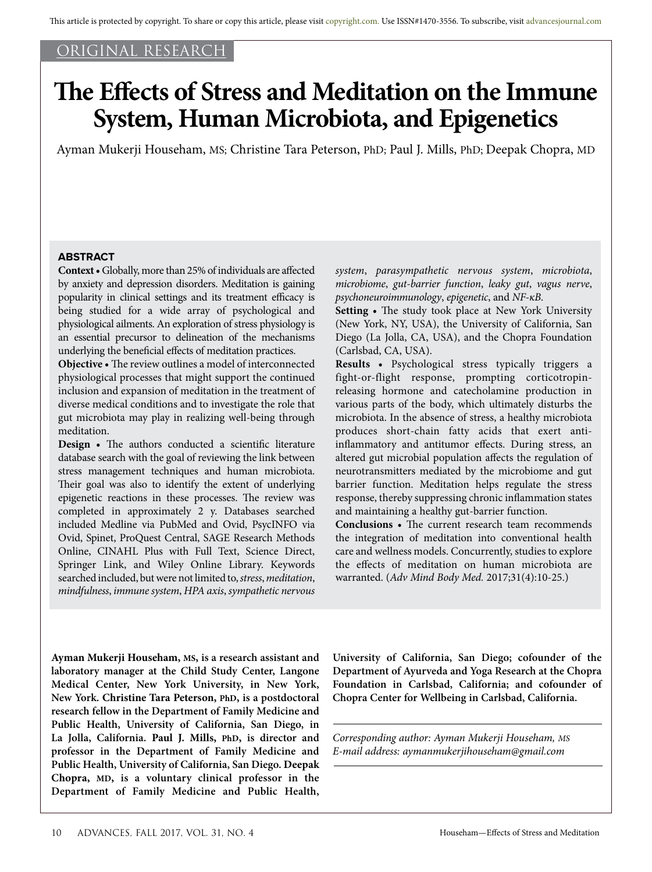## ORIGINAL RESEARCH

# **The Effects of Stress and Meditation on the Immune System, Human Microbiota, and Epigenetics**

Ayman Mukerji Househam, MS; Christine Tara Peterson, PhD; Paul J. Mills, PhD; Deepak Chopra, MD

## **ABSTRACT**

**Context •** Globally, more than 25% of individuals are affected by anxiety and depression disorders. Meditation is gaining popularity in clinical settings and its treatment efficacy is being studied for a wide array of psychological and physiological ailments. An exploration of stress physiology is an essential precursor to delineation of the mechanisms underlying the beneficial effects of meditation practices.

**Objective •** The review outlines a model of interconnected physiological processes that might support the continued inclusion and expansion of meditation in the treatment of diverse medical conditions and to investigate the role that gut microbiota may play in realizing well-being through meditation.

**Design •** The authors conducted a scientific literature database search with the goal of reviewing the link between stress management techniques and human microbiota. Their goal was also to identify the extent of underlying epigenetic reactions in these processes. The review was completed in approximately 2 y. Databases searched included Medline via PubMed and Ovid, PsycINFO via Ovid, Spinet, ProQuest Central, SAGE Research Methods Online, CINAHL Plus with Full Text, Science Direct, Springer Link, and Wiley Online Library. Keywords searched included, but were not limited to, *stress*, *meditation*, *mindfulness*, *immune system*, *HPA axis*, *sympathetic nervous* 

*system*, *parasympathetic nervous system*, *microbiota*, *microbiome*, *gut-barrier function*, *leaky gut*, *vagus nerve*, *psychoneuroimmunology*, *epigenetic*, and *NF-κB*.

**Setting •** The study took place at New York University (New York, NY, USA), the University of California, San Diego (La Jolla, CA, USA), and the Chopra Foundation (Carlsbad, CA, USA).

**Results •** Psychological stress typically triggers a fight-or-flight response, prompting corticotropinreleasing hormone and catecholamine production in various parts of the body, which ultimately disturbs the microbiota. In the absence of stress, a healthy microbiota produces short-chain fatty acids that exert antiinflammatory and antitumor effects. During stress, an altered gut microbial population affects the regulation of neurotransmitters mediated by the microbiome and gut barrier function. Meditation helps regulate the stress response, thereby suppressing chronic inflammation states and maintaining a healthy gut-barrier function.

**Conclusions •** The current research team recommends the integration of meditation into conventional health care and wellness models. Concurrently, studies to explore the effects of meditation on human microbiota are warranted. (*Adv Mind Body Med.* 2017;31(4):10-25.)

**Ayman Mukerji Househam, MS, is a research assistant and laboratory manager at the Child Study Center, Langone Medical Center, New York University, in New York, New York. Christine Tara Peterson, PhD, is a postdoctoral research fellow in the Department of Family Medicine and Public Health, University of California, San Diego, in La Jolla, California. Paul J. Mills, PhD, is director and professor in the Department of Family Medicine and Public Health, University of California, San Diego. Deepak Chopra, MD, is a voluntary clinical professor in the Department of Family Medicine and Public Health,**  **University of California, San Diego; cofounder of the Department of Ayurveda and Yoga Research at the Chopra Foundation in Carlsbad, California; and cofounder of Chopra Center for Wellbeing in Carlsbad, California.**

*Corresponding author: Ayman Mukerji Househam, MS E-mail address: aymanmukerjihouseham@gmail.com*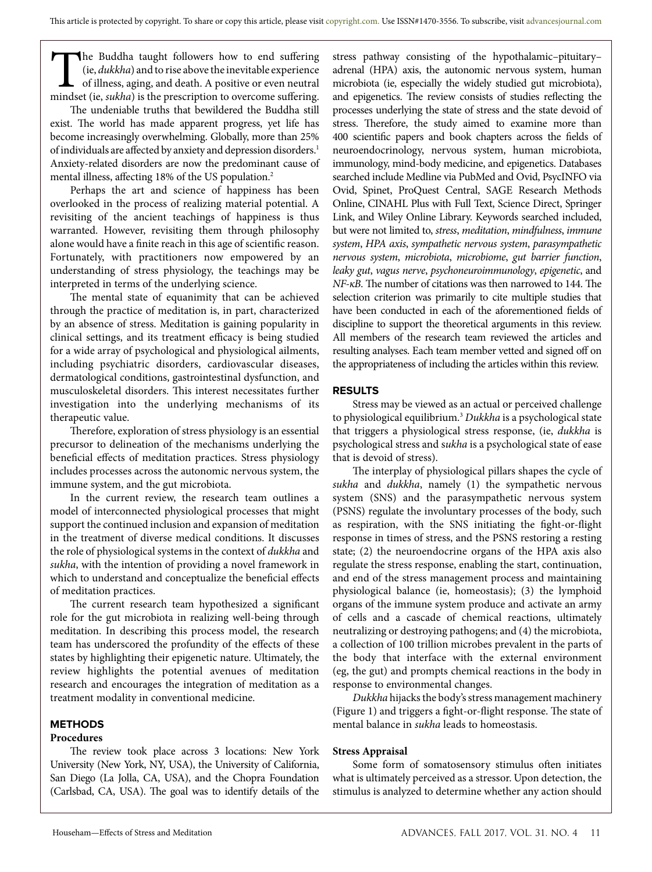The Buddha taught followers how to end suffering (ie, *dukkha*) and to rise above the inevitable experience of illness, aging, and death. A positive or even neutral mindset (ie, *sukha*) is the prescription to overcome suffering.

The undeniable truths that bewildered the Buddha still exist. The world has made apparent progress, yet life has become increasingly overwhelming. Globally, more than 25% of individuals are affected by anxiety and depression disorders.<sup>1</sup> Anxiety-related disorders are now the predominant cause of mental illness, affecting 18% of the US population.<sup>2</sup>

Perhaps the art and science of happiness has been overlooked in the process of realizing material potential. A revisiting of the ancient teachings of happiness is thus warranted. However, revisiting them through philosophy alone would have a finite reach in this age of scientific reason. Fortunately, with practitioners now empowered by an understanding of stress physiology, the teachings may be interpreted in terms of the underlying science.

The mental state of equanimity that can be achieved through the practice of meditation is, in part, characterized by an absence of stress. Meditation is gaining popularity in clinical settings, and its treatment efficacy is being studied for a wide array of psychological and physiological ailments, including psychiatric disorders, cardiovascular diseases, dermatological conditions, gastrointestinal dysfunction, and musculoskeletal disorders. This interest necessitates further investigation into the underlying mechanisms of its therapeutic value.

Therefore, exploration of stress physiology is an essential precursor to delineation of the mechanisms underlying the beneficial effects of meditation practices. Stress physiology includes processes across the autonomic nervous system, the immune system, and the gut microbiota.

In the current review, the research team outlines a model of interconnected physiological processes that might support the continued inclusion and expansion of meditation in the treatment of diverse medical conditions. It discusses the role of physiological systems in the context of *dukkha* and *sukha*, with the intention of providing a novel framework in which to understand and conceptualize the beneficial effects of meditation practices.

The current research team hypothesized a significant role for the gut microbiota in realizing well-being through meditation. In describing this process model, the research team has underscored the profundity of the effects of these states by highlighting their epigenetic nature. Ultimately, the review highlights the potential avenues of meditation research and encourages the integration of meditation as a treatment modality in conventional medicine.

## **METHODS**

## **Procedures**

The review took place across 3 locations: New York University (New York, NY, USA), the University of California, San Diego (La Jolla, CA, USA), and the Chopra Foundation (Carlsbad, CA, USA). The goal was to identify details of the

stress pathway consisting of the hypothalamic–pituitary– adrenal (HPA) axis, the autonomic nervous system, human microbiota (ie, especially the widely studied gut microbiota), and epigenetics. The review consists of studies reflecting the processes underlying the state of stress and the state devoid of stress. Therefore, the study aimed to examine more than 400 scientific papers and book chapters across the fields of neuroendocrinology, nervous system, human microbiota, immunology, mind-body medicine, and epigenetics. Databases searched include Medline via PubMed and Ovid, PsycINFO via Ovid, Spinet, ProQuest Central, SAGE Research Methods Online, CINAHL Plus with Full Text, Science Direct, Springer Link, and Wiley Online Library. Keywords searched included, but were not limited to, *stress*, *meditation*, *mindfulness*, *immune system*, *HPA axis*, *sympathetic nervous system*, *parasympathetic nervous system*, *microbiota*, *microbiome*, *gut barrier function*, *leaky gut*, *vagus nerve*, *psychoneuroimmunology*, *epigenetic*, and *NF-κB*. The number of citations was then narrowed to 144. The selection criterion was primarily to cite multiple studies that have been conducted in each of the aforementioned fields of discipline to support the theoretical arguments in this review. All members of the research team reviewed the articles and resulting analyses. Each team member vetted and signed off on the appropriateness of including the articles within this review.

## **RESULTS**

Stress may be viewed as an actual or perceived challenge to physiological equilibrium.3 *Dukkha* is a psychological state that triggers a physiological stress response, (ie, *dukkha* is psychological stress and s*ukha* is a psychological state of ease that is devoid of stress).

The interplay of physiological pillars shapes the cycle of *sukha* and *dukkha*, namely (1) the sympathetic nervous system (SNS) and the parasympathetic nervous system (PSNS) regulate the involuntary processes of the body, such as respiration, with the SNS initiating the fight-or-flight response in times of stress, and the PSNS restoring a resting state; (2) the neuroendocrine organs of the HPA axis also regulate the stress response, enabling the start, continuation, and end of the stress management process and maintaining physiological balance (ie, homeostasis); (3) the lymphoid organs of the immune system produce and activate an army of cells and a cascade of chemical reactions, ultimately neutralizing or destroying pathogens; and (4) the microbiota, a collection of 100 trillion microbes prevalent in the parts of the body that interface with the external environment (eg, the gut) and prompts chemical reactions in the body in response to environmental changes.

*Dukkha* hijacks the body's stress management machinery (Figure 1) and triggers a fight-or-flight response. The state of mental balance in *sukha* leads to homeostasis.

## **Stress Appraisal**

Some form of somatosensory stimulus often initiates what is ultimately perceived as a stressor. Upon detection, the stimulus is analyzed to determine whether any action should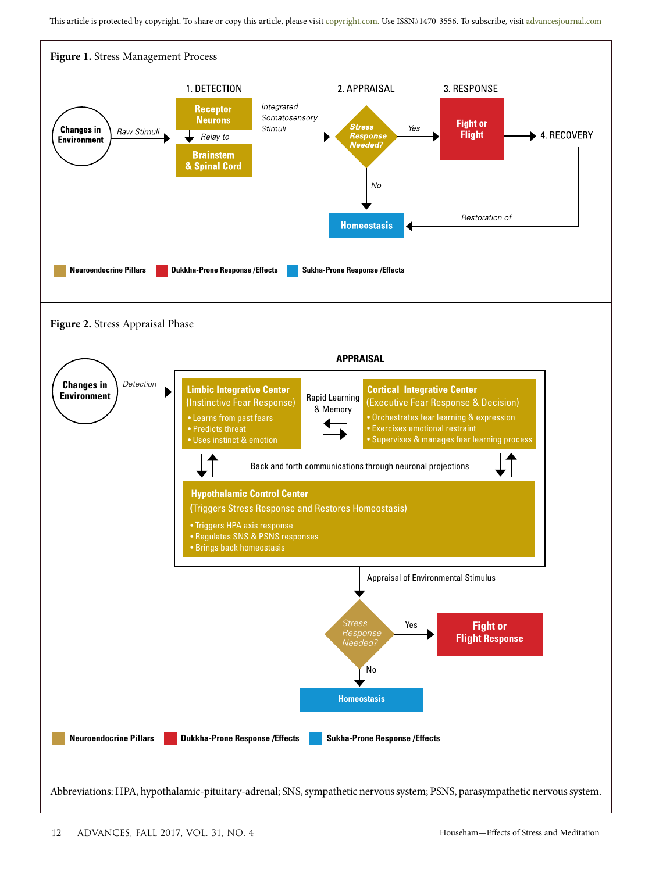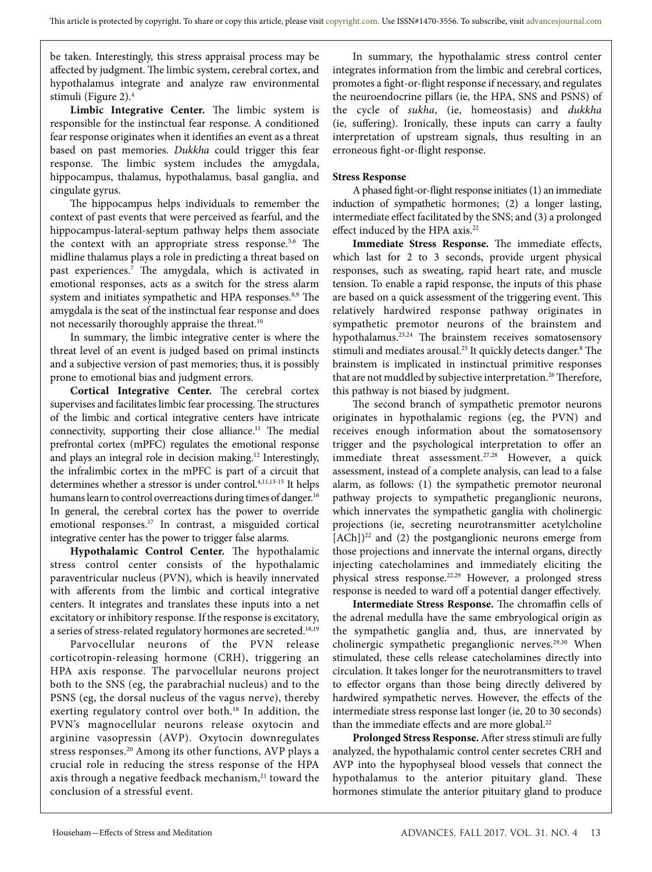be taken. Interestingly, this stress appraisal process may be affected by judgment. The limbic system, cerebral cortex, and hypothalamus integrate and analyze raw environmental stimuli (Figure 2).4

**Limbic Integrative Center.** The limbic system is responsible for the instinctual fear response. A conditioned fear response originates when it identifies an event as a threat based on past memories. *Dukkha* could trigger this fear response. The limbic system includes the amygdala, hippocampus, thalamus, hypothalamus, basal ganglia, and cingulate gyrus.

The hippocampus helps individuals to remember the context of past events that were perceived as fearful, and the hippocampus-lateral-septum pathway helps them associate the context with an appropriate stress response.<sup>5,6</sup> The midline thalamus plays a role in predicting a threat based on past experiences.7 The amygdala, which is activated in emotional responses, acts as a switch for the stress alarm system and initiates sympathetic and HPA responses.<sup>8,9</sup> The amygdala is the seat of the instinctual fear response and does not necessarily thoroughly appraise the threat.<sup>10</sup>

In summary, the limbic integrative center is where the threat level of an event is judged based on primal instincts and a subjective version of past memories; thus, it is possibly prone to emotional bias and judgment errors.

**Cortical Integrative Center.** The cerebral cortex supervises and facilitates limbic fear processing. The structures of the limbic and cortical integrative centers have intricate connectivity, supporting their close alliance.<sup>11</sup> The medial prefrontal cortex (mPFC) regulates the emotional response and plays an integral role in decision making.12 Interestingly, the infralimbic cortex in the mPFC is part of a circuit that determines whether a stressor is under control.4,11,13-15 It helps humans learn to control overreactions during times of danger.<sup>16</sup> In general, the cerebral cortex has the power to override emotional responses.17 In contrast, a misguided cortical integrative center has the power to trigger false alarms.

**Hypothalamic Control Center.** The hypothalamic stress control center consists of the hypothalamic paraventricular nucleus (PVN), which is heavily innervated with afferents from the limbic and cortical integrative centers. It integrates and translates these inputs into a net excitatory or inhibitory response. If the response is excitatory, a series of stress-related regulatory hormones are secreted.<sup>18,19</sup>

Parvocellular neurons of the PVN release corticotropin-releasing hormone (CRH), triggering an HPA axis response. The parvocellular neurons project both to the SNS (eg, the parabrachial nucleus) and to the PSNS (eg, the dorsal nucleus of the vagus nerve), thereby exerting regulatory control over both.<sup>18</sup> In addition, the PVN's magnocellular neurons release oxytocin and arginine vasopressin (AVP). Oxytocin downregulates stress responses.20 Among its other functions, AVP plays a crucial role in reducing the stress response of the HPA axis through a negative feedback mechanism,<sup>21</sup> toward the conclusion of a stressful event.

In summary, the hypothalamic stress control center integrates information from the limbic and cerebral cortices, promotes a fight-or-flight response if necessary, and regulates the neuroendocrine pillars (ie, the HPA, SNS and PSNS) of the cycle of *sukha*, (ie, homeostasis) and *dukkha* (ie, suffering). Ironically, these inputs can carry a faulty interpretation of upstream signals, thus resulting in an erroneous fight-or-flight response.

## **Stress Response**

A phased fight-or-flight response initiates (1) an immediate induction of sympathetic hormones; (2) a longer lasting, intermediate effect facilitated by the SNS; and (3) a prolonged effect induced by the HPA axis.<sup>22</sup>

**Immediate Stress Response.** The immediate effects, which last for 2 to 3 seconds, provide urgent physical responses, such as sweating, rapid heart rate, and muscle tension. To enable a rapid response, the inputs of this phase are based on a quick assessment of the triggering event. This relatively hardwired response pathway originates in sympathetic premotor neurons of the brainstem and hypothalamus.<sup>23,24</sup> The brainstem receives somatosensory stimuli and mediates arousal.<sup>25</sup> It quickly detects danger.<sup>8</sup> The brainstem is implicated in instinctual primitive responses that are not muddled by subjective interpretation.<sup>26</sup> Therefore, this pathway is not biased by judgment.

The second branch of sympathetic premotor neurons originates in hypothalamic regions (eg, the PVN) and receives enough information about the somatosensory trigger and the psychological interpretation to offer an immediate threat assessment.<sup>27,28</sup> However, a quick assessment, instead of a complete analysis, can lead to a false alarm, as follows: (1) the sympathetic premotor neuronal pathway projects to sympathetic preganglionic neurons, which innervates the sympathetic ganglia with cholinergic projections (ie, secreting neurotransmitter acetylcholine  $[ACh]$ <sup>22</sup> and (2) the postganglionic neurons emerge from those projections and innervate the internal organs, directly injecting catecholamines and immediately eliciting the physical stress response.22,29 However, a prolonged stress response is needed to ward off a potential danger effectively.

**Intermediate Stress Response.** The chromaffin cells of the adrenal medulla have the same embryological origin as the sympathetic ganglia and, thus, are innervated by cholinergic sympathetic preganglionic nerves.<sup>29,30</sup> When stimulated, these cells release catecholamines directly into circulation. It takes longer for the neurotransmitters to travel to effector organs than those being directly delivered by hardwired sympathetic nerves. However, the effects of the intermediate stress response last longer (ie, 20 to 30 seconds) than the immediate effects and are more global.<sup>22</sup>

**Prolonged Stress Response.** After stress stimuli are fully analyzed, the hypothalamic control center secretes CRH and AVP into the hypophyseal blood vessels that connect the hypothalamus to the anterior pituitary gland. These hormones stimulate the anterior pituitary gland to produce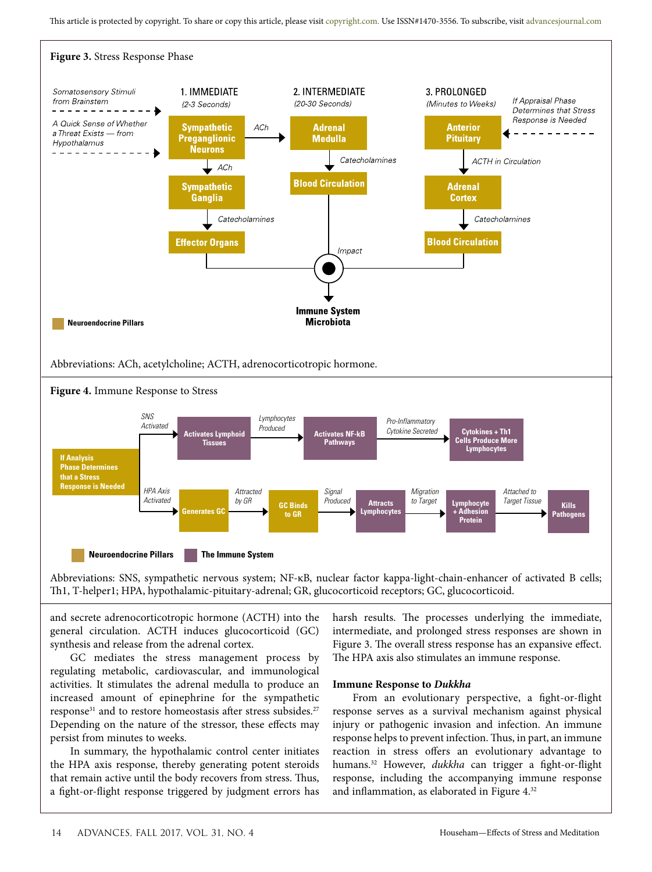

Abbreviations: SNS, sympathetic nervous system; NF-κB, nuclear factor kappa-light-chain-enhancer of activated B cells; Th1, T-helper1; HPA, hypothalamic-pituitary-adrenal; GR, glucocorticoid receptors; GC, glucocorticoid.

and secrete adrenocorticotropic hormone (ACTH) into the general circulation. ACTH induces glucocorticoid (GC) synthesis and release from the adrenal cortex.

GC mediates the stress management process by regulating metabolic, cardiovascular, and immunological activities. It stimulates the adrenal medulla to produce an increased amount of epinephrine for the sympathetic response<sup>31</sup> and to restore homeostasis after stress subsides.<sup>27</sup> Depending on the nature of the stressor, these effects may persist from minutes to weeks.

In summary, the hypothalamic control center initiates the HPA axis response, thereby generating potent steroids that remain active until the body recovers from stress. Thus, a fight-or-flight response triggered by judgment errors has

harsh results. The processes underlying the immediate, intermediate, and prolonged stress responses are shown in Figure 3. The overall stress response has an expansive effect. The HPA axis also stimulates an immune response.

#### **Immune Response to** *Dukkha*

From an evolutionary perspective, a fight-or-flight response serves as a survival mechanism against physical injury or pathogenic invasion and infection. An immune response helps to prevent infection. Thus, in part, an immune reaction in stress offers an evolutionary advantage to humans.32 However, *dukkha* can trigger a fight-or-flight response, including the accompanying immune response and inflammation, as elaborated in Figure 4.32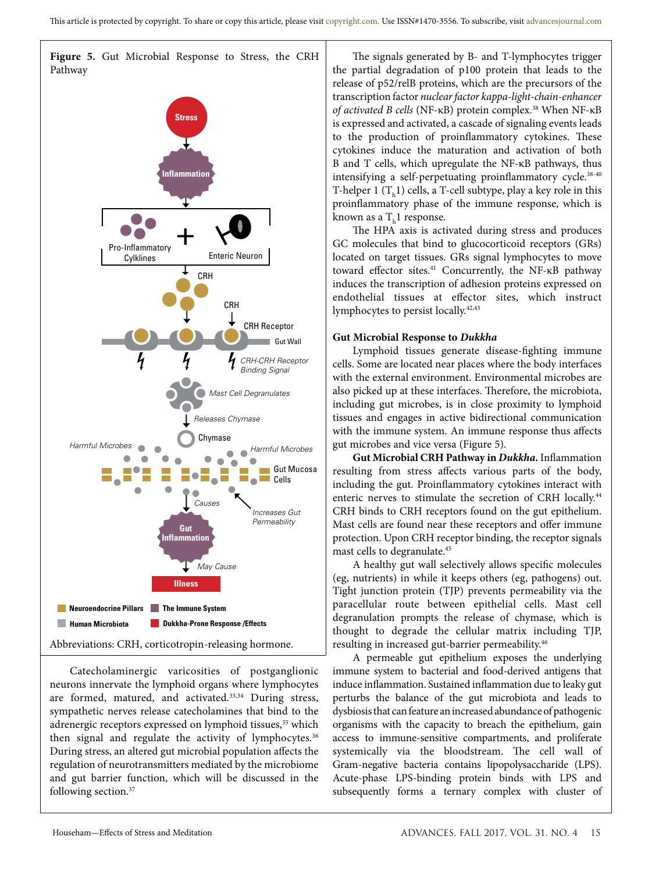**Figure 5.** Gut Microbial Response to Stress, the CRH Pathway



Catecholaminergic varicosities of postganglionic neurons innervate the lymphoid organs where lymphocytes are formed, matured, and activated.<sup>33,34</sup> During stress, sympathetic nerves release catecholamines that bind to the adrenergic receptors expressed on lymphoid tissues,<sup>35</sup> which then signal and regulate the activity of lymphocytes.<sup>36</sup> During stress, an altered gut microbial population affects the regulation of neurotransmitters mediated by the microbiome and gut barrier function, which will be discussed in the following section.<sup>37</sup>

The signals generated by B- and T-lymphocytes trigger the partial degradation of p100 protein that leads to the release of p52/relB proteins, which are the precursors of the transcription factor *nuclear factor kappa-light-chain-enhancer of activated B cells* (NF-κB) protein complex.38 When NF-κB is expressed and activated, a cascade of signaling events leads to the production of proinflammatory cytokines. These cytokines induce the maturation and activation of both B and T cells, which upregulate the NF-κB pathways, thus intensifying a self-perpetuating proinflammatory cycle.<sup>38-40</sup> T-helper 1  $(T_h1)$  cells, a T-cell subtype, play a key role in this proinflammatory phase of the immune response, which is known as a  $T<sub>h</sub>$ 1 response.

The HPA axis is activated during stress and produces GC molecules that bind to glucocorticoid receptors (GRs) located on target tissues. GRs signal lymphocytes to move toward effector sites.41 Concurrently, the NF-κB pathway induces the transcription of adhesion proteins expressed on endothelial tissues at effector sites, which instruct lymphocytes to persist locally.<sup>42,43</sup>

## **Gut Microbial Response to** *Dukkha*

Lymphoid tissues generate disease-fighting immune cells. Some are located near places where the body interfaces with the external environment. Environmental microbes are also picked up at these interfaces. Therefore, the microbiota, including gut microbes, is in close proximity to lymphoid tissues and engages in active bidirectional communication with the immune system. An immune response thus affects gut microbes and vice versa (Figure 5).

**Gut Microbial CRH Pathway in** *Dukkha***.** Inflammation resulting from stress affects various parts of the body, including the gut. Proinflammatory cytokines interact with enteric nerves to stimulate the secretion of CRH locally.<sup>44</sup> CRH binds to CRH receptors found on the gut epithelium. Mast cells are found near these receptors and offer immune protection. Upon CRH receptor binding, the receptor signals mast cells to degranulate.45

A healthy gut wall selectively allows specific molecules (eg, nutrients) in while it keeps others (eg, pathogens) out. Tight junction protein (TJP) prevents permeability via the paracellular route between epithelial cells. Mast cell degranulation prompts the release of chymase, which is thought to degrade the cellular matrix including TJP, resulting in increased gut-barrier permeability.46

A permeable gut epithelium exposes the underlying immune system to bacterial and food-derived antigens that induce inflammation. Sustained inflammation due to leaky gut perturbs the balance of the gut microbiota and leads to dysbiosis that can feature an increased abundance of pathogenic organisms with the capacity to breach the epithelium, gain access to immune-sensitive compartments, and proliferate systemically via the bloodstream. The cell wall of Gram-negative bacteria contains lipopolysaccharide (LPS). Acute-phase LPS-binding protein binds with LPS and subsequently forms a ternary complex with cluster of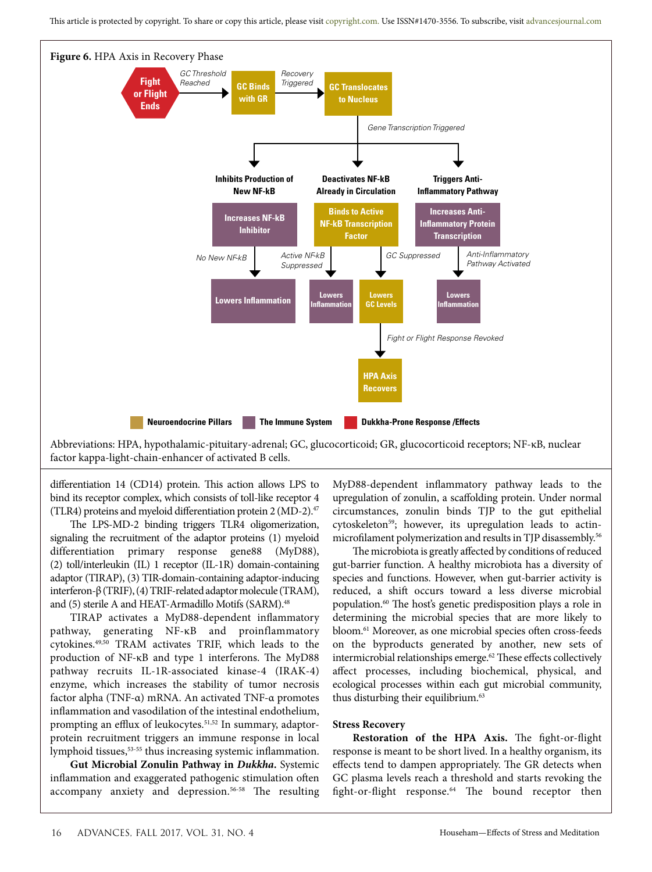

Abbreviations: HPA, hypothalamic-pituitary-adrenal; GC, glucocorticoid; GR, glucocorticoid receptors; NF-κB, nuclear factor kappa-light-chain-enhancer of activated B cells.

differentiation 14 (CD14) protein. This action allows LPS to bind its receptor complex, which consists of toll-like receptor 4 (TLR4) proteins and myeloid differentiation protein 2 (MD-2). $47$ 

The LPS-MD-2 binding triggers TLR4 oligomerization, signaling the recruitment of the adaptor proteins (1) myeloid differentiation primary response gene88 (MyD88), (2) toll/interleukin (IL) 1 receptor (IL-1R) domain-containing adaptor (TIRAP), (3) TIR-domain-containing adaptor-inducing interferon-β (TRIF), (4) TRIF-related adaptor molecule (TRAM), and (5) sterile A and HEAT-Armadillo Motifs (SARM).<sup>48</sup>

TIRAP activates a MyD88-dependent inflammatory pathway, generating NF-κB and proinflammatory cytokines.49,50 TRAM activates TRIF, which leads to the production of NF-κB and type 1 interferons. The MyD88 pathway recruits IL-1R-associated kinase-4 (IRAK-4) enzyme, which increases the stability of tumor necrosis factor alpha (TNF-α) mRNA. An activated TNF-α promotes inflammation and vasodilation of the intestinal endothelium, prompting an efflux of leukocytes.<sup>51,52</sup> In summary, adaptorprotein recruitment triggers an immune response in local lymphoid tissues,53-55 thus increasing systemic inflammation.

**Gut Microbial Zonulin Pathway in** *Dukkha***.** Systemic inflammation and exaggerated pathogenic stimulation often accompany anxiety and depression.<sup>56-58</sup> The resulting MyD88-dependent inflammatory pathway leads to the upregulation of zonulin, a scaffolding protein. Under normal circumstances, zonulin binds TJP to the gut epithelial cytoskeleton<sup>59</sup>; however, its upregulation leads to actinmicrofilament polymerization and results in TJP disassembly.<sup>56</sup>

The microbiota is greatly affected by conditions of reduced gut-barrier function. A healthy microbiota has a diversity of species and functions. However, when gut-barrier activity is reduced, a shift occurs toward a less diverse microbial population.60 The host's genetic predisposition plays a role in determining the microbial species that are more likely to bloom.61 Moreover, as one microbial species often cross-feeds on the byproducts generated by another, new sets of intermicrobial relationships emerge. $62$  These effects collectively affect processes, including biochemical, physical, and ecological processes within each gut microbial community, thus disturbing their equilibrium.<sup>63</sup>

#### **Stress Recovery**

**Restoration of the HPA Axis.** The fight-or-flight response is meant to be short lived. In a healthy organism, its effects tend to dampen appropriately. The GR detects when GC plasma levels reach a threshold and starts revoking the fight-or-flight response.<sup>64</sup> The bound receptor then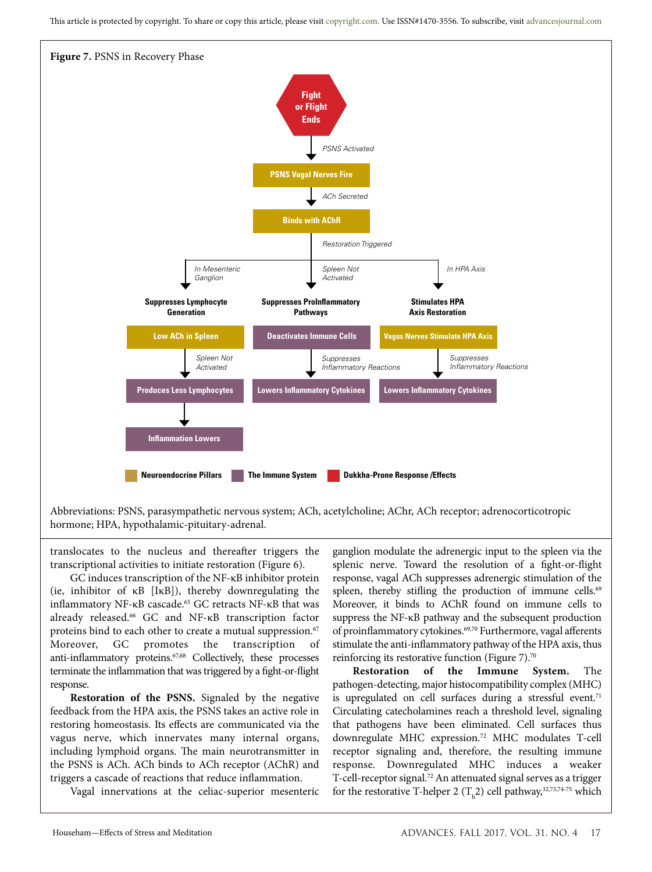This article is protected by copyright. To share or copy this article, please visit copyright.com. Use ISSN#1470-3556. To subscribe, visit advancesjournal.com



Abbreviations: PSNS, parasympathetic nervous system; ACh, acetylcholine; AChr, ACh receptor; adrenocorticotropic hormone; HPA, hypothalamic-pituitary-adrenal.

translocates to the nucleus and thereafter triggers the transcriptional activities to initiate restoration (Figure 6).

GC induces transcription of the NF-κB inhibitor protein (ie, inhibitor of κB [IκB]), thereby downregulating the inflammatory NF-κB cascade.<sup>65</sup> GC retracts NF-κB that was already released.66 GC and NF-κB transcription factor proteins bind to each other to create a mutual suppression.<sup>67</sup> Moreover, GC promotes the transcription of anti-inflammatory proteins.<sup>67,68</sup> Collectively, these processes terminate the inflammation that was triggered by a fight-or-flight response.

**Restoration of the PSNS.** Signaled by the negative feedback from the HPA axis, the PSNS takes an active role in restoring homeostasis. Its effects are communicated via the vagus nerve, which innervates many internal organs, including lymphoid organs. The main neurotransmitter in the PSNS is ACh. ACh binds to ACh receptor (AChR) and triggers a cascade of reactions that reduce inflammation.

Vagal innervations at the celiac-superior mesenteric

ganglion modulate the adrenergic input to the spleen via the splenic nerve. Toward the resolution of a fight-or-flight response, vagal ACh suppresses adrenergic stimulation of the spleen, thereby stifling the production of immune cells.<sup>69</sup> Moreover, it binds to AChR found on immune cells to suppress the NF-κB pathway and the subsequent production of proinflammatory cytokines.<sup>69,70</sup> Furthermore, vagal afferents stimulate the anti-inflammatory pathway of the HPA axis, thus reinforcing its restorative function (Figure 7).<sup>70</sup>

**Restoration of the Immune System.** The pathogen-detecting, major histocompatibility complex (MHC) is upregulated on cell surfaces during a stressful event.<sup>71</sup> Circulating catecholamines reach a threshold level, signaling that pathogens have been eliminated. Cell surfaces thus downregulate MHC expression.72 MHC modulates T-cell receptor signaling and, therefore, the resulting immune response. Downregulated MHC induces a weaker T-cell-receptor signal.72 An attenuated signal serves as a trigger for the restorative T-helper 2 ( $T_h$ 2) cell pathway,<sup>32,73,74-75</sup> which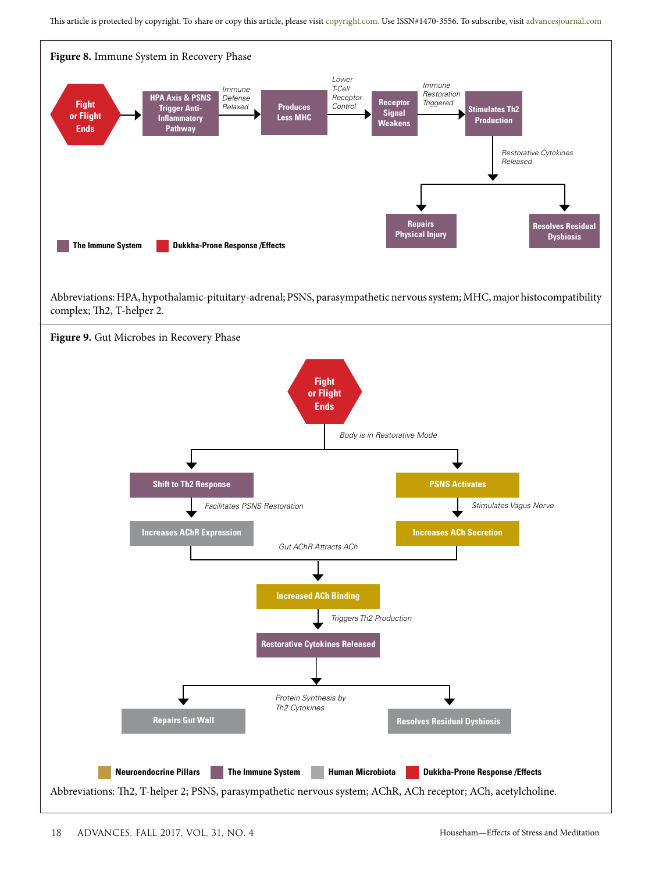This article is protected by copyright. To share or copy this article, please visit copyright.com. Use ISSN#1470-3556. To subscribe, visit advancesjournal.com



Abbreviations: HPA, hypothalamic-pituitary-adrenal; PSNS, parasympathetic nervous system; MHC, major histocompatibility complex; Th2, T-helper 2.

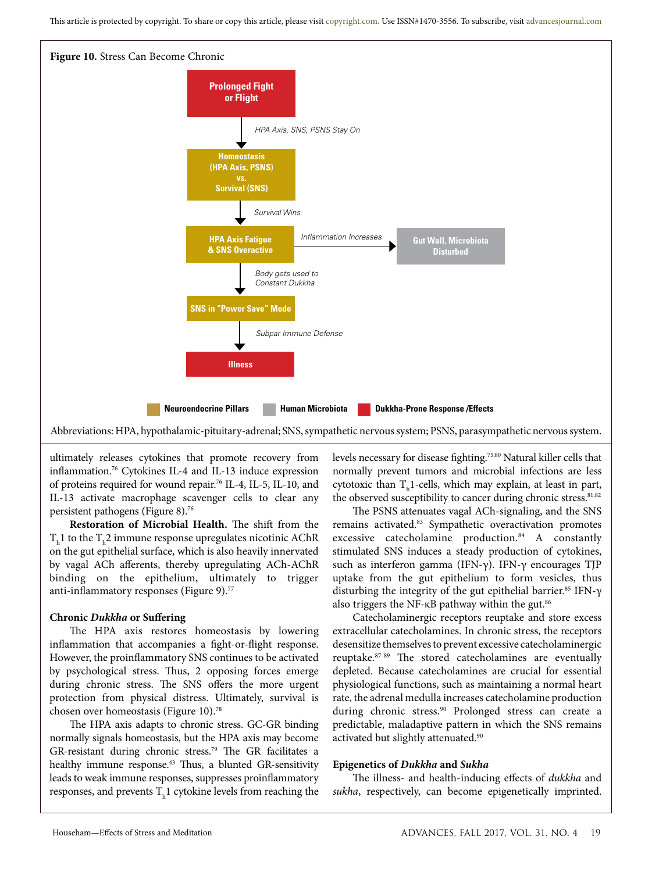

Abbreviations: HPA, hypothalamic-pituitary-adrenal; SNS, sympathetic nervous system; PSNS, parasympathetic nervous system.

ultimately releases cytokines that promote recovery from inflammation.76 Cytokines IL-4 and IL-13 induce expression of proteins required for wound repair.76 IL-4, IL-5, IL-10, and IL-13 activate macrophage scavenger cells to clear any persistent pathogens (Figure 8).76

**Restoration of Microbial Health.** The shift from the  $\rm T_h1$  to the  $\rm T_h2$  immune response upregulates nicotinic AChR on the gut epithelial surface, which is also heavily innervated by vagal ACh afferents, thereby upregulating ACh-AChR binding on the epithelium, ultimately to trigger anti-inflammatory responses (Figure 9).77

## **Chronic** *Dukkha* **or Suffering**

The HPA axis restores homeostasis by lowering inflammation that accompanies a fight-or-flight response. However, the proinflammatory SNS continues to be activated by psychological stress. Thus, 2 opposing forces emerge during chronic stress. The SNS offers the more urgent protection from physical distress. Ultimately, survival is chosen over homeostasis (Figure 10).78

The HPA axis adapts to chronic stress. GC-GR binding normally signals homeostasis, but the HPA axis may become GR-resistant during chronic stress.<sup>79</sup> The GR facilitates a healthy immune response.<sup>43</sup> Thus, a blunted GR-sensitivity leads to weak immune responses, suppresses proinflammatory responses, and prevents  $T<sub>h</sub>1$  cytokine levels from reaching the levels necessary for disease fighting.75,80 Natural killer cells that normally prevent tumors and microbial infections are less cytotoxic than  $T_h$ 1-cells, which may explain, at least in part, the observed susceptibility to cancer during chronic stress.<sup>81,82</sup>

The PSNS attenuates vagal ACh-signaling, and the SNS remains activated.83 Sympathetic overactivation promotes excessive catecholamine production.<sup>84</sup> A constantly stimulated SNS induces a steady production of cytokines, such as interferon gamma (IFN-γ). IFN-γ encourages TJP uptake from the gut epithelium to form vesicles, thus disturbing the integrity of the gut epithelial barrier.<sup>85</sup> IFN- $\gamma$ also triggers the NF- $\kappa$ B pathway within the gut.<sup>86</sup>

Catecholaminergic receptors reuptake and store excess extracellular catecholamines. In chronic stress, the receptors desensitize themselves to prevent excessive catecholaminergic reuptake.87-89 The stored catecholamines are eventually depleted. Because catecholamines are crucial for essential physiological functions, such as maintaining a normal heart rate, the adrenal medulla increases catecholamine production during chronic stress.<sup>90</sup> Prolonged stress can create a predictable, maladaptive pattern in which the SNS remains activated but slightly attenuated.<sup>90</sup>

## **Epigenetics of** *Dukkha* **and** *Sukha*

The illness- and health-inducing effects of *dukkha* and *sukha*, respectively, can become epigenetically imprinted.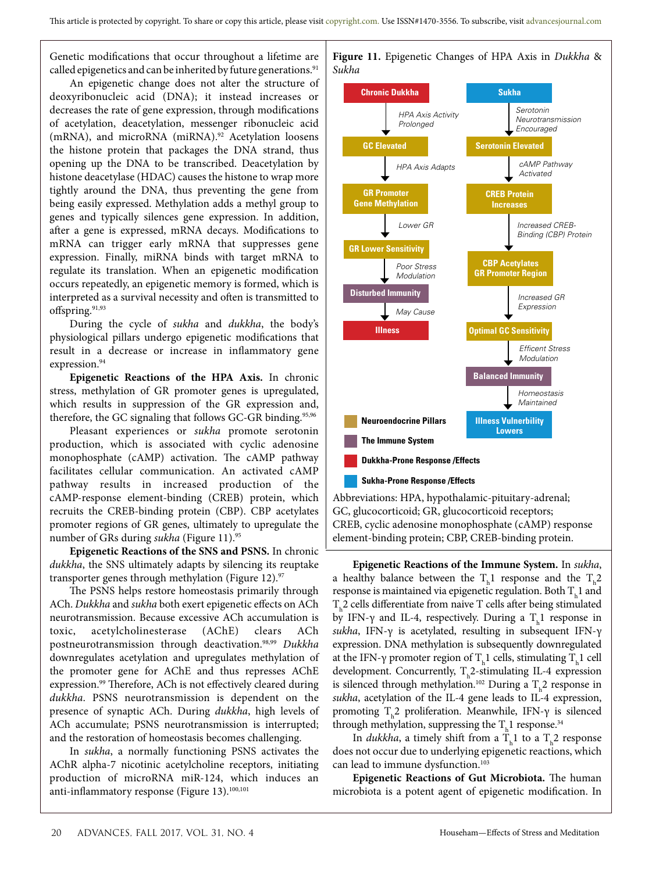Genetic modifications that occur throughout a lifetime are called epigenetics and can be inherited by future generations.<sup>91</sup>

An epigenetic change does not alter the structure of deoxyribonucleic acid (DNA); it instead increases or decreases the rate of gene expression, through modifications of acetylation, deacetylation, messenger ribonucleic acid (mRNA), and microRNA (miRNA).<sup>92</sup> Acetylation loosens the histone protein that packages the DNA strand, thus opening up the DNA to be transcribed. Deacetylation by histone deacetylase (HDAC) causes the histone to wrap more tightly around the DNA, thus preventing the gene from being easily expressed. Methylation adds a methyl group to genes and typically silences gene expression. In addition, after a gene is expressed, mRNA decays. Modifications to mRNA can trigger early mRNA that suppresses gene expression. Finally, miRNA binds with target mRNA to regulate its translation. When an epigenetic modification occurs repeatedly, an epigenetic memory is formed, which is interpreted as a survival necessity and often is transmitted to offspring. $91,93$ 

During the cycle of *sukha* and *dukkha*, the body's physiological pillars undergo epigenetic modifications that result in a decrease or increase in inflammatory gene expression.<sup>94</sup>

**Epigenetic Reactions of the HPA Axis.** In chronic stress, methylation of GR promoter genes is upregulated, which results in suppression of the GR expression and, therefore, the GC signaling that follows GC-GR binding.<sup>95,96</sup>

Pleasant experiences or *sukha* promote serotonin production, which is associated with cyclic adenosine monophosphate (cAMP) activation. The cAMP pathway facilitates cellular communication. An activated cAMP pathway results in increased production of the cAMP-response element-binding (CREB) protein, which recruits the CREB-binding protein (CBP). CBP acetylates promoter regions of GR genes, ultimately to upregulate the number of GRs during *sukha* (Figure 11).95

**Epigenetic Reactions of the SNS and PSNS.** In chronic *dukkha*, the SNS ultimately adapts by silencing its reuptake transporter genes through methylation (Figure 12). $\frac{97}{2}$ 

The PSNS helps restore homeostasis primarily through ACh. *Dukkha* and *sukha* both exert epigenetic effects on ACh neurotransmission. Because excessive ACh accumulation is toxic, acetylcholinesterase (AChE) clears ACh postneurotransmission through deactivation.98,99 *Dukkha* downregulates acetylation and upregulates methylation of the promoter gene for AChE and thus represses AChE expression.<sup>99</sup> Therefore, ACh is not effectively cleared during *dukkha*. PSNS neurotransmission is dependent on the presence of synaptic ACh. During *dukkha*, high levels of ACh accumulate; PSNS neurotransmission is interrupted; and the restoration of homeostasis becomes challenging.

In *sukha*, a normally functioning PSNS activates the AChR alpha-7 nicotinic acetylcholine receptors, initiating production of microRNA miR-124, which induces an anti-inflammatory response (Figure 13).<sup>100,101</sup>



**Figure 11.** Epigenetic Changes of HPA Axis in *Dukkha* &

**Epigenetic Reactions of the Immune System.** In *sukha*, a healthy balance between the  $T<sub>h</sub>1$  response and the  $T<sub>h</sub>2$ response is maintained via epigenetic regulation. Both  $\text{T}_{\text{h}}\text{1}$  and  $T_{\rm h}$ 2 cells differentiate from naive T cells after being stimulated by IFN- $\gamma$  and IL-4, respectively. During a  $T<sub>h</sub>$ 1 response in *sukha*, IFN-γ is acetylated, resulting in subsequent IFN-γ expression. DNA methylation is subsequently downregulated at the IFN-γ promoter region of  $T_h1$  cells, stimulating  $T_h1$  cell development. Concurrently,  $T_h$ 2-stimulating IL-4 expression is silenced through methylation.<sup>102</sup> During a  $T_h^2$  response in *sukha*, acetylation of the IL-4 gene leads to IL-4 expression, promoting  $T_h$ 2 proliferation. Meanwhile, IFN-γ is silenced through methylation, suppressing the  $T<sub>h</sub>$ 1 response.<sup>34</sup>

element-binding protein; CBP, CREB-binding protein.

In *dukkha*, a timely shift from a  $T<sub>h</sub>$ 1 to a  $T<sub>h</sub>$ 2 response does not occur due to underlying epigenetic reactions, which can lead to immune dysfunction.<sup>103</sup>

**Epigenetic Reactions of Gut Microbiota.** The human microbiota is a potent agent of epigenetic modification. In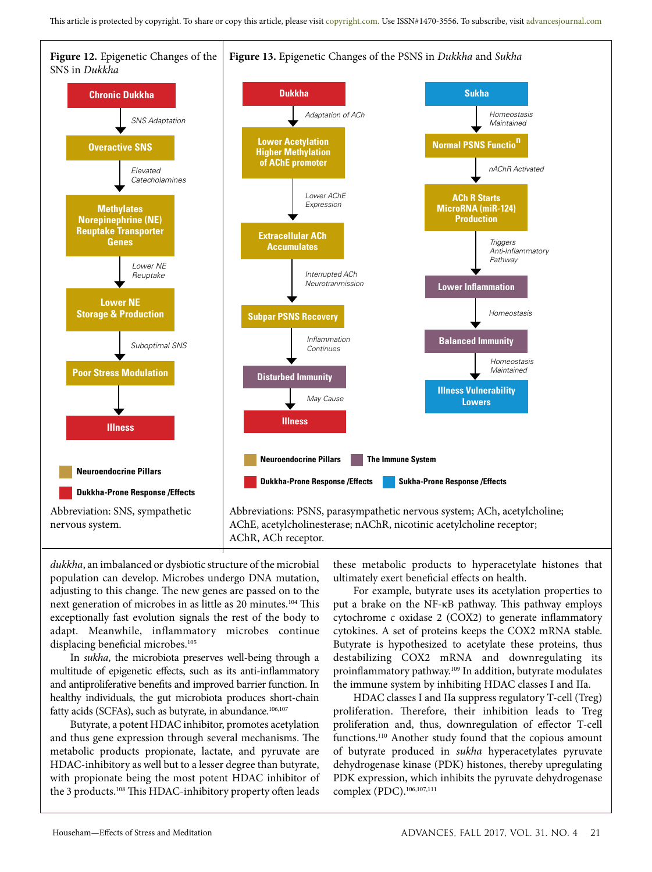

*dukkha*, an imbalanced or dysbiotic structure of the microbial population can develop. Microbes undergo DNA mutation, adjusting to this change. The new genes are passed on to the next generation of microbes in as little as 20 minutes.104 This exceptionally fast evolution signals the rest of the body to adapt. Meanwhile, inflammatory microbes continue displacing beneficial microbes.<sup>105</sup>

In *sukha*, the microbiota preserves well-being through a multitude of epigenetic effects, such as its anti-inflammatory and antiproliferative benefits and improved barrier function. In healthy individuals, the gut microbiota produces short-chain fatty acids (SCFAs), such as butyrate, in abundance.<sup>106,107</sup>

Butyrate, a potent HDAC inhibitor, promotes acetylation and thus gene expression through several mechanisms. The metabolic products propionate, lactate, and pyruvate are HDAC-inhibitory as well but to a lesser degree than butyrate, with propionate being the most potent HDAC inhibitor of the 3 products.<sup>108</sup> This HDAC-inhibitory property often leads

these metabolic products to hyperacetylate histones that ultimately exert beneficial effects on health.

For example, butyrate uses its acetylation properties to put a brake on the NF-κB pathway. This pathway employs cytochrome c oxidase 2 (COX2) to generate inflammatory cytokines. A set of proteins keeps the COX2 mRNA stable. Butyrate is hypothesized to acetylate these proteins, thus destabilizing COX2 mRNA and downregulating its proinflammatory pathway.109 In addition, butyrate modulates the immune system by inhibiting HDAC classes I and IIa.

HDAC classes I and IIa suppress regulatory T-cell (Treg) proliferation. Therefore, their inhibition leads to Treg proliferation and, thus, downregulation of effector T-cell functions.110 Another study found that the copious amount of butyrate produced in *sukha* hyperacetylates pyruvate dehydrogenase kinase (PDK) histones, thereby upregulating PDK expression, which inhibits the pyruvate dehydrogenase complex (PDC).106,107,111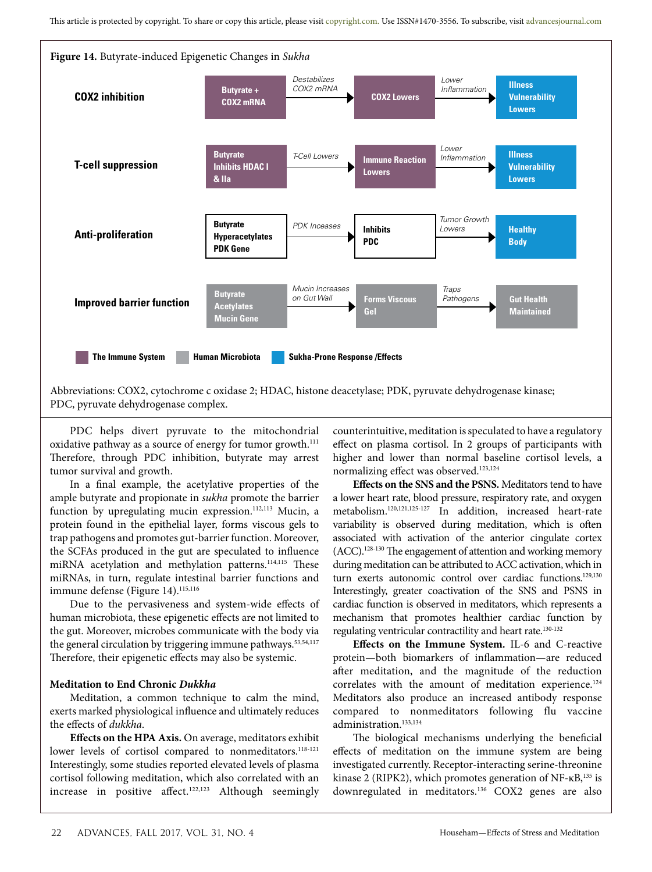

Abbreviations: COX2, cytochrome c oxidase 2; HDAC, histone deacetylase; PDK, pyruvate dehydrogenase kinase; PDC, pyruvate dehydrogenase complex.

PDC helps divert pyruvate to the mitochondrial oxidative pathway as a source of energy for tumor growth.<sup>111</sup> Therefore, through PDC inhibition, butyrate may arrest tumor survival and growth.

In a final example, the acetylative properties of the ample butyrate and propionate in *sukha* promote the barrier function by upregulating mucin expression.<sup>112,113</sup> Mucin, a protein found in the epithelial layer, forms viscous gels to trap pathogens and promotes gut-barrier function. Moreover, the SCFAs produced in the gut are speculated to influence miRNA acetylation and methylation patterns.<sup>114,115</sup> These miRNAs, in turn, regulate intestinal barrier functions and immune defense (Figure 14).<sup>115,116</sup>

Due to the pervasiveness and system-wide effects of human microbiota, these epigenetic effects are not limited to the gut. Moreover, microbes communicate with the body via the general circulation by triggering immune pathways.<sup>53,54,117</sup> Therefore, their epigenetic effects may also be systemic.

## **Meditation to End Chronic** *Dukkha*

Meditation, a common technique to calm the mind, exerts marked physiological influence and ultimately reduces the effects of *dukkha*.

**Effects on the HPA Axis.** On average, meditators exhibit lower levels of cortisol compared to nonmeditators.<sup>118-121</sup> Interestingly, some studies reported elevated levels of plasma cortisol following meditation, which also correlated with an increase in positive affect.<sup>122,123</sup> Although seemingly counterintuitive, meditation is speculated to have a regulatory effect on plasma cortisol. In 2 groups of participants with higher and lower than normal baseline cortisol levels, a normalizing effect was observed.123,124

**Effects on the SNS and the PSNS.** Meditators tend to have a lower heart rate, blood pressure, respiratory rate, and oxygen metabolism.120,121,125-127 In addition, increased heart-rate variability is observed during meditation, which is often associated with activation of the anterior cingulate cortex (ACC).128-130 The engagement of attention and working memory during meditation can be attributed to ACC activation, which in turn exerts autonomic control over cardiac functions.<sup>129,130</sup> Interestingly, greater coactivation of the SNS and PSNS in cardiac function is observed in meditators, which represents a mechanism that promotes healthier cardiac function by regulating ventricular contractility and heart rate.<sup>130-132</sup>

**Effects on the Immune System.** IL-6 and C-reactive protein—both biomarkers of inflammation—are reduced after meditation, and the magnitude of the reduction correlates with the amount of meditation experience.<sup>124</sup> Meditators also produce an increased antibody response compared to nonmeditators following flu vaccine administration.133,134

The biological mechanisms underlying the beneficial effects of meditation on the immune system are being investigated currently. Receptor-interacting serine-threonine kinase 2 (RIPK2), which promotes generation of  $NF$ - $\kappa B$ <sup>135</sup> is downregulated in meditators.136 COX2 genes are also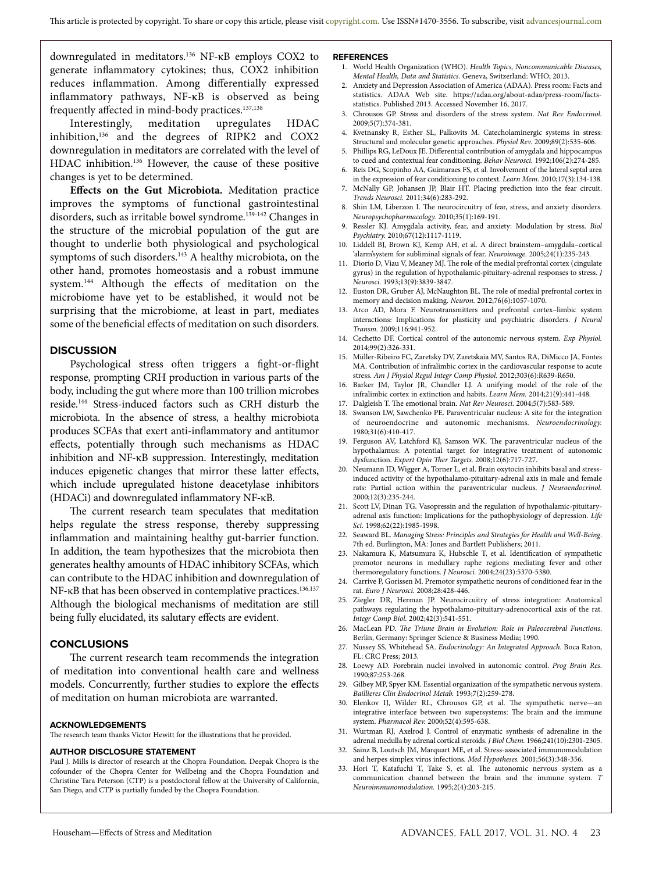downregulated in meditators.136 NF-κB employs COX2 to generate inflammatory cytokines; thus, COX2 inhibition reduces inflammation. Among differentially expressed inflammatory pathways, NF-κB is observed as being frequently affected in mind-body practices.<sup>137,138</sup>

Interestingly, meditation upregulates HDAC inhibition, $136$  and the degrees of RIPK2 and COX2 downregulation in meditators are correlated with the level of HDAC inhibition.136 However, the cause of these positive changes is yet to be determined.

**Effects on the Gut Microbiota.** Meditation practice improves the symptoms of functional gastrointestinal disorders, such as irritable bowel syndrome.<sup>139-142</sup> Changes in the structure of the microbial population of the gut are thought to underlie both physiological and psychological symptoms of such disorders.<sup>143</sup> A healthy microbiota, on the other hand, promotes homeostasis and a robust immune system.144 Although the effects of meditation on the microbiome have yet to be established, it would not be surprising that the microbiome, at least in part, mediates some of the beneficial effects of meditation on such disorders.

#### **DISCUSSION**

Psychological stress often triggers a fight-or-flight response, prompting CRH production in various parts of the body, including the gut where more than 100 trillion microbes reside.144 Stress-induced factors such as CRH disturb the microbiota. In the absence of stress, a healthy microbiota produces SCFAs that exert anti-inflammatory and antitumor effects, potentially through such mechanisms as HDAC inhibition and NF-κB suppression. Interestingly, meditation induces epigenetic changes that mirror these latter effects, which include upregulated histone deacetylase inhibitors (HDACi) and downregulated inflammatory NF-κB.

The current research team speculates that meditation helps regulate the stress response, thereby suppressing inflammation and maintaining healthy gut-barrier function. In addition, the team hypothesizes that the microbiota then generates healthy amounts of HDAC inhibitory SCFAs, which can contribute to the HDAC inhibition and downregulation of NF-κB that has been observed in contemplative practices.<sup>136,137</sup> Although the biological mechanisms of meditation are still being fully elucidated, its salutary effects are evident.

#### **CONCLUSIONS**

The current research team recommends the integration of meditation into conventional health care and wellness models. Concurrently, further studies to explore the effects of meditation on human microbiota are warranted.

#### **ACKNOWLEDGEMENTS**

The research team thanks Victor Hewitt for the illustrations that he provided.

#### **AUTHOR DISCLOSURE STATEMENT**

Paul J. Mills is director of research at the Chopra Foundation. Deepak Chopra is the cofounder of the Chopra Center for Wellbeing and the Chopra Foundation and Christine Tara Peterson (CTP) is a postdoctoral fellow at the University of California, San Diego, and CTP is partially funded by the Chopra Foundation.

#### **REFERENCES**

- 1. World Health Organization (WHO). *Health Topics, Noncommunicable Diseases, Mental Health, Data and Statistics*. Geneva, Switzerland: WHO; 2013.
- 2. Anxiety and Depression Association of America (ADAA). Press room: Facts and statistics. ADAA Web site. https://adaa.org/about-adaa/press-room/factsstatistics. Published 2013. Accessed November 16, 2017.
- 3. Chrousos GP. Stress and disorders of the stress system. *Nat Rev Endocrinol.*  2009;5(7):374-381.
- Kvetnansky R, Esther SL, Palkovits M. Catecholaminergic systems in stress: Structural and molecular genetic approaches. *Physiol Rev.* 2009;89(2):535-606.
- 5. Phillips RG, LeDoux JE. Differential contribution of amygdala and hippocampus to cued and contextual fear conditioning. *Behav Neurosci.* 1992;106(2):274-285.
- Reis DG, Scopinho AA, Guimaraes FS, et al. Involvement of the lateral septal area in the expression of fear conditioning to context. *Learn Mem.* 2010;17(3):134-138.
- 7. McNally GP, Johansen JP, Blair HT. Placing prediction into the fear circuit. *Trends Neurosci.* 2011;34(6):283-292.
- 8. Shin LM, Liberzon I. The neurocircuitry of fear, stress, and anxiety disorders. *Neuropsychopharmacology.* 2010;35(1):169-191.
- 9. Ressler KJ. Amygdala activity, fear, and anxiety: Modulation by stress. *Biol Psychiatry.* 2010;67(12):1117-1119.
- 10. Liddell BJ, Brown KJ, Kemp AH, et al. A direct brainstem–amygdala–cortical 'alarm'system for subliminal signals of fear. *Neuroimage.* 2005;24(1):235-243.
- 11. Diorio D, Viau V, Meaney MJ. The role of the medial prefrontal cortex (cingulate gyrus) in the regulation of hypothalamic-pituitary-adrenal responses to stress. *J Neurosci.* 1993;13(9):3839-3847.
- 12. Euston DR, Gruber AJ, McNaughton BL. The role of medial prefrontal cortex in memory and decision making. *Neuron.* 2012;76(6):1057-1070.
- 13. Arco AD, Mora F. Neurotransmitters and prefrontal cortex–limbic system interactions: Implications for plasticity and psychiatric disorders. *J Neural Transm.* 2009;116:941-952.
- 14. Cechetto DF. Cortical control of the autonomic nervous system. *Exp Physiol.* 2014;99(2):326-331.
- 15. Müller-Ribeiro FC, Zaretsky DV, Zaretskaia MV, Santos RA, DiMicco JA, Fontes MA. Contribution of infralimbic cortex in the cardiovascular response to acute stress. *Am J Physiol Regul Integr Comp Physiol*. 2012;303(6):R639-R650.
- 16. Barker JM, Taylor JR, Chandler LJ. A unifying model of the role of the infralimbic cortex in extinction and habits. *Learn Mem.* 2014;21(9):441-448.
- 17. Dalgleish T. The emotional brain. *Nat Rev Neurosci.* 2004;5(7):583-589.
- 18. Swanson LW, Sawchenko PE. Paraventricular nucleus: A site for the integration of neuroendocrine and autonomic mechanisms. *Neuroendocrinology.*  1980;31(6):410-417.
- 19. Ferguson AV, Latchford KJ, Samson WK. The paraventricular nucleus of the hypothalamus: A potential target for integrative treatment of autonomic dysfunction. *Expert Opin Ther Targets.* 2008;12(6):717-727.
- 20. Neumann ID, Wigger A, Torner L, et al. Brain oxytocin inhibits basal and stressinduced activity of the hypothalamo-pituitary-adrenal axis in male and female rats: Partial action within the paraventricular nucleus. *J Neuroendocrinol.*  2000;12(3):235-244.
- 21. Scott LV, Dinan TG. Vasopressin and the regulation of hypothalamic-pituitaryadrenal axis function: Implications for the pathophysiology of depression. *Life Sci.* 1998;62(22):1985-1998.
- 22. Seaward BL. *Managing Stress: Principles and Strategies for Health and Well-Being*. 7th ed. Burlington, MA: Jones and Bartlett Publishers; 2011.
- 23. Nakamura K, Matsumura K, Hubschle T, et al. Identification of sympathetic premotor neurons in medullary raphe regions mediating fever and other thermoregulatory functions. *J Neurosci.* 2004;24(23):5370-5380.
- 24. Carrive P, Gorissen M. Premotor sympathetic neurons of conditioned fear in the rat. *Euro J Neurosci.* 2008;28:428-446.
- 25. Ziegler DR, Herman JP. Neurocircuitry of stress integration: Anatomical pathways regulating the hypothalamo-pituitary-adrenocortical axis of the rat. *Integr Comp Biol.* 2002;42(3):541-551.
- 26. MacLean PD. *The Triune Brain in Evolution: Role in Paleocerebral Functions*. Berlin, Germany: Springer Science & Business Media; 1990.
- 27. Nussey SS, Whitehead SA. *Endocrinology: An Integrated Approach*. Boca Raton, FL: CRC Press; 2013.
- 28. Loewy AD. Forebrain nuclei involved in autonomic control. *Prog Brain Res.*  1990;87:253-268.
- 29. Gilbey MP, Spyer KM. Essential organization of the sympathetic nervous system. *Baillieres Clin Endocrinol Metab.* 1993;7(2):259-278.
- 30. Elenkov IJ, Wilder RL, Chrousos GP, et al. The sympathetic nerve—an integrative interface between two supersystems: The brain and the immune system. *Pharmacol Rev.* 2000;52(4):595-638.
- 31. Wurtman RJ, Axelrod J. Control of enzymatic synthesis of adrenaline in the adrenal medulla by adrenal cortical steroids. *J Biol Chem.* 1966;241(10):2301-2305.
- 32. Sainz B, Loutsch JM, Marquart ME, et al. Stress-associated immunomodulation and herpes simplex virus infections. *Med Hypotheses.* 2001;56(3):348-356.
- 33. Hori T, Katafuchi T, Take S, et al. The autonomic nervous system as a communication channel between the brain and the immune system. *T Neuroimmunomodulation.* 1995;2(4):203-215.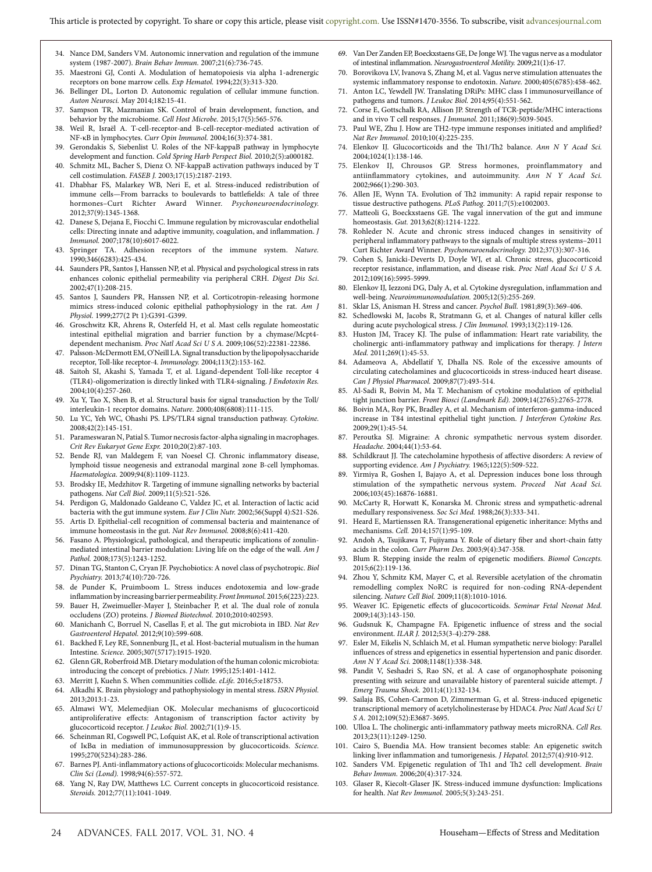- 34. Nance DM, Sanders VM. Autonomic innervation and regulation of the immune system (1987-2007). *Brain Behav Immun.* 2007;21(6):736-745.
- 35. Maestroni GJ, Conti A. Modulation of hematopoiesis via alpha 1-adrenergic receptors on bone marrow cells. *Exp Hematol.* 1994;22(3):313-320.
- 36. Bellinger DL, Lorton D. Autonomic regulation of cellular immune function. *Auton Neurosci.* May 2014;182:15-41.
- 37. Sampson TR, Mazmanian SK. Control of brain development, function, and behavior by the microbiome. *Cell Host Microbe.* 2015;17(5):565-576.
- 38. Weil R, Israël A. T-cell-receptor-and B-cell-receptor-mediated activation of NF-κB in lymphocytes. *Curr Opin Immunol.* 2004;16(3):374-381.
- 39. Gerondakis S, Siebenlist U. Roles of the NF-kappaB pathway in lymphocyte development and function. *Cold Spring Harb Perspect Biol.* 2010;2(5):a000182.
- 40. Schmitz ML, Bacher S, Dienz O. NF-kappaB activation pathways induced by T cell costimulation. *FASEB J.* 2003;17(15):2187-2193.
- 41. Dhabhar FS, Malarkey WB, Neri E, et al. Stress-induced redistribution of immune cells—From barracks to boulevards to battlefields: A tale of three hormones–Curt Richter Award Winner. *Psychoneuroendocrinology.*  2012;37(9):1345-1368.
- 42. Danese S, Dejana E, Fiocchi C. Immune regulation by microvascular endothelial cells: Directing innate and adaptive immunity, coagulation, and inflammation. *J Immunol.* 2007;178(10):6017-6022.
- 43. Springer TA. Adhesion receptors of the immune system. *Nature.* 1990;346(6283):425-434.
- 44. Saunders PR, Santos J, Hanssen NP, et al. Physical and psychological stress in rats enhances colonic epithelial permeability via peripheral CRH. *Digest Dis Sci*. 2002;47(1):208-215.
- 45. Santos J, Saunders PR, Hanssen NP, et al. Corticotropin-releasing hormone mimics stress-induced colonic epithelial pathophysiology in the rat. *Am J Physiol.* 1999;277(2 Pt 1):G391-G399.
- 46. Groschwitz KR, Ahrens R, Osterfeld H, et al. Mast cells regulate homeostatic intestinal epithelial migration and barrier function by a chymase/Mcpt4 dependent mechanism. *Proc Natl Acad Sci U S A.* 2009;106(52):22381-22386.
- 47. Palsson-McDermott EM, O'Neill LA. Signal transduction by the lipopolysaccharide receptor, Toll-like receptor-4. *Immunology.* 2004;113(2):153-162.
- 48. Saitoh SI, Akashi S, Yamada T, et al. Ligand-dependent Toll-like receptor 4 (TLR4)-oligomerization is directly linked with TLR4-signaling. *J Endotoxin Res.*  2004;10(4):257-260.
- 49. Xu Y, Tao X, Shen B, et al. Structural basis for signal transduction by the Toll/ interleukin-1 receptor domains. *Nature.* 2000;408(6808):111-115.
- 50. Lu YC, Yeh WC, Ohashi PS. LPS/TLR4 signal transduction pathway. *Cytokine.*  2008;42(2):145-151.
- 51. Parameswaran N, Patial S. Tumor necrosis factor-alpha signaling in macrophages. *Crit Rev Eukaryot Gene Expr.* 2010;20(2):87-103.
- 52. Bende RJ, van Maldegem F, van Noesel CJ. Chronic inflammatory disease, lymphoid tissue neogenesis and extranodal marginal zone B-cell lymphomas. *Haematologica.* 2009;94(8):1109-1123.
- 53. Brodsky IE, Medzhitov R. Targeting of immune signalling networks by bacterial pathogens. *Nat Cell Biol.* 2009;11(5):521-526.
- 54. Perdigon G, Maldonado Galdeano C, Valdez JC, et al. Interaction of lactic acid bacteria with the gut immune system. *Eur J Clin Nutr.* 2002;56(Suppl 4):S21-S26.
- 55. Artis D. Epithelial-cell recognition of commensal bacteria and maintenance of immune homeostasis in the gut. *Nat Rev Immunol.* 2008;8(6):411-420.
- 56. Fasano A. Physiological, pathological, and therapeutic implications of zonulinmediated intestinal barrier modulation: Living life on the edge of the wall. *Am J Pathol.* 2008;173(5):1243-1252.
- 57. Dinan TG, Stanton C, Cryan JF. Psychobiotics: A novel class of psychotropic. *Biol Psychiatry.* 2013;74(10):720-726.
- 58. de Punder K, Pruimboom L. Stress induces endotoxemia and low-grade inflammation by increasing barrier permeability. *Front Immunol.* 2015;6(223):223.
- 59. Bauer H, Zweimueller-Mayer J, Steinbacher P, et al. The dual role of zonula occludens (ZO) proteins. *J Biomed Biotechnol.* 2010;2010:402593.
- 60. Manichanh C, Borruel N, Casellas F, et al. The gut microbiota in IBD. *Nat Rev Gastroenterol Hepatol.* 2012;9(10):599-608.
- 61. Backhed F, Ley RE, Sonnenburg JL, et al. Host-bacterial mutualism in the human Intestine. *Science.* 2005;307(5717):1915-1920.
- 62. Glenn GR, Roberfroid MB. Dietary modulation of the human colonic microbiota: introducing the concept of prebiotics. *J Nutr.* 1995;125:1401-1412.
- 63. Merritt J, Kuehn S. When communities collide. *eLife.* 2016;5:e18753.
- 64. Alkadhi K. Brain physiology and pathophysiology in mental stress. *ISRN Physiol.*  2013;2013:1-23.
- 65. Almawi WY, Melemedjian OK. Molecular mechanisms of glucocorticoid antiproliferative effects: Antagonism of transcription factor activity by glucocorticoid receptor. *J Leukoc Biol.* 2002;71(1):9-15.
- 66. Scheinman RI, Cogswell PC, Lofquist AK, et al. Role of transcriptional activation of IκBα in mediation of immunosuppression by glucocorticoids. *Science.*  1995;270(5234):283-286.
- 67. Barnes PJ. Anti-inflammatory actions of glucocorticoids: Molecular mechanisms. *Clin Sci (Lond).* 1998;94(6):557-572.
- 68. Yang N, Ray DW, Matthews LC. Current concepts in glucocorticoid resistance. *Steroids.* 2012;77(11):1041-1049.
- 69. Van Der Zanden EP, Boeckxstaens GE, De Jonge WJ. The vagus nerve as a modulator of intestinal inflammation. *Neurogastroenterol Motility.* 2009;21(1):6-17.
- Borovikova LV, Ivanova S, Zhang M, et al. Vagus nerve stimulation attenuates the systemic inflammatory response to endotoxin. *Nature.* 2000;405(6785):458-462.
- 71. Anton LC, Yewdell JW. Translating DRiPs: MHC class I immunosurveillance of pathogens and tumors. *J Leukoc Biol.* 2014;95(4):551-562.
- 72. Corse E, Gottschalk RA, Allison JP. Strength of TCR-peptide/MHC interactions and in vivo T cell responses. *J Immunol.* 2011;186(9):5039-5045.
- 73. Paul WE, Zhu J. How are TH2-type immune responses initiated and amplified? *Nat Rev Immunol.* 2010;10(4):225-235.
- 74. Elenkov IJ. Glucocorticoids and the Th1/Th2 balance. *Ann N Y Acad Sci.*  2004;1024(1):138-146.
- 75. Elenkov IJ, Chrousos GP. Stress hormones, proinflammatory and antiinflammatory cytokines, and autoimmunity. *Ann N Y Acad Sci.*  2002;966(1):290-303.
- 76. Allen JE, Wynn TA. Evolution of Th2 immunity: A rapid repair response to tissue destructive pathogens. *PLoS Pathog.* 2011;7(5):e1002003.
- 77. Matteoli G, Boeckxstaens GE. The vagal innervation of the gut and immune homeostasis. *Gut.* 2013;62(8):1214-1222.
- 78. Rohleder N. Acute and chronic stress induced changes in sensitivity of peripheral inflammatory pathways to the signals of multiple stress systems–2011 Curt Richter Award Winner. *Psychoneuroendocrinology.* 2012;37(3):307-316.
- 79. Cohen S, Janicki-Deverts D, Doyle WJ, et al. Chronic stress, glucocorticoid receptor resistance, inflammation, and disease risk. *Proc Natl Acad Sci U S A.*  2012;109(16):5995-5999.
- 80. Elenkov IJ, Iezzoni DG, Daly A, et al. Cytokine dysregulation, inflammation and well-being. *Neuroimmunomodulation.* 2005;12(5):255-269.
- 81. Sklar LS, Anisman H. Stress and cancer. *Psychol Bull.* 1981;89(3):369-406.
- Schedlowski M, Jacobs R, Stratmann G, et al. Changes of natural killer cells during acute psychological stress. *J Clin Immunol.* 1993;13(2):119-126.
- 83. Huston JM, Tracey KJ. The pulse of inflammation: Heart rate variability, the cholinergic anti-inflammatory pathway and implications for therapy. *J Intern Med.* 2011;269(1):45-53.
- 84. Adameova A, Abdellatif Y, Dhalla NS. Role of the excessive amounts of circulating catecholamines and glucocorticoids in stress-induced heart disease. *Can J Physiol Pharmacol.* 2009;87(7):493-514.
- 85. Al-Sadi R, Boivin M, Ma T. Mechanism of cytokine modulation of epithelial tight junction barrier. *Front Biosci (Landmark Ed).* 2009;14(2765):2765-2778.
- Boivin MA, Roy PK, Bradley A, et al. Mechanism of interferon-gamma-induced increase in T84 intestinal epithelial tight junction. *J Interferon Cytokine Res.*  2009;29(1):45-54.
- 87. Peroutka SJ. Migraine: A chronic sympathetic nervous system disorder. *Headache.* 2004;44(1):53-64.
- Schildkraut JJ. The catecholamine hypothesis of affective disorders: A review of supporting evidence. *Am J Psychiatry.* 1965;122(5):509-522.
- 89. Yirmiya R, Goshen I, Bajayo A, et al. Depression induces bone loss through stimulation of the sympathetic nervous system. *Proceed Nat Acad Sci.*  2006;103(45):16876-16881.
- 90. McCarty R, Horwatt K, Konarska M. Chronic stress and sympathetic-adrenal medullary responsiveness. *Soc Sci Med.* 1988;26(3):333-341.
- 91. Heard E, Martienssen RA. Transgenerational epigenetic inheritance: Myths and mechanisms. *Cell.* 2014;157(1):95-109.
- 92. Andoh A, Tsujikawa T, Fujiyama Y. Role of dietary fiber and short-chain fatty acids in the colon. *Curr Pharm Des.* 2003;9(4):347-358.
- 93. Blum R. Stepping inside the realm of epigenetic modifiers. *Biomol Concepts.*  2015;6(2):119-136.
- 94. Zhou Y, Schmitz KM, Mayer C, et al. Reversible acetylation of the chromatin remodelling complex NoRC is required for non-coding RNA-dependent silencing. *Nature Cell Biol.* 2009;11(8):1010-1016.
- 95. Weaver IC. Epigenetic effects of glucocorticoids. *Seminar Fetal Neonat Med.*  2009;14(3):143-150.
- 96. Gudsnuk K, Champagne FA. Epigenetic influence of stress and the social environment. *ILAR J.* 2012;53(3-4):279-288.
- 97. Esler M, Eikelis N, Schlaich M, et al. Human sympathetic nerve biology: Parallel influences of stress and epigenetics in essential hypertension and panic disorder. *Ann N Y Acad Sci.* 2008;1148(1):338-348.
- 98. Pandit V, Seshadri S, Rao SN, et al. A case of organophosphate poisoning presenting with seizure and unavailable history of parenteral suicide attempt. *J Emerg Trauma Shock.* 2011;4(1):132-134.
- 99. Sailaja BS, Cohen-Carmon D, Zimmerman G, et al. Stress-induced epigenetic transcriptional memory of acetylcholinesterase by HDAC4. *Proc Natl Acad Sci U S A.* 2012;109(52):E3687-3695.
- 100. Ulloa L. The cholinergic anti-inflammatory pathway meets microRNA. *Cell Res.*  2013;23(11):1249-1250.
- 101. Cairo S, Buendia MA. How transient becomes stable: An epigenetic switch linking liver inflammation and tumorigenesis. *J Hepatol.* 2012;57(4):910-912.
- 102. Sanders VM. Epigenetic regulation of Th1 and Th2 cell development. *Brain Behav Immun.* 2006;20(4):317-324.
- 103. Glaser R, Kiecolt-Glaser JK. Stress-induced immune dysfunction: Implications for health. *Nat Rev Immunol.* 2005;5(3):243-251.